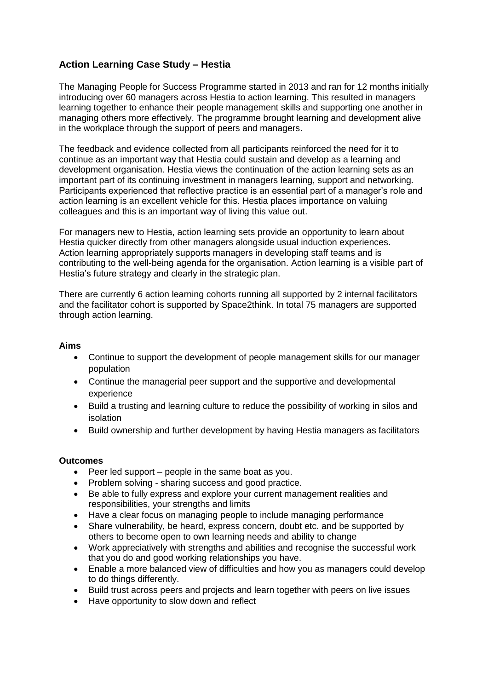# **Action Learning Case Study – Hestia**

The Managing People for Success Programme started in 2013 and ran for 12 months initially introducing over 60 managers across Hestia to action learning. This resulted in managers learning together to enhance their people management skills and supporting one another in managing others more effectively. The programme brought learning and development alive in the workplace through the support of peers and managers.

The feedback and evidence collected from all participants reinforced the need for it to continue as an important way that Hestia could sustain and develop as a learning and development organisation. Hestia views the continuation of the action learning sets as an important part of its continuing investment in managers learning, support and networking. Participants experienced that reflective practice is an essential part of a manager's role and action learning is an excellent vehicle for this. Hestia places importance on valuing colleagues and this is an important way of living this value out.

For managers new to Hestia, action learning sets provide an opportunity to learn about Hestia quicker directly from other managers alongside usual induction experiences. Action learning appropriately supports managers in developing staff teams and is contributing to the well-being agenda for the organisation. Action learning is a visible part of Hestia's future strategy and clearly in the strategic plan.

There are currently 6 action learning cohorts running all supported by 2 internal facilitators and the facilitator cohort is supported by Space2think. In total 75 managers are supported through action learning.

## **Aims**

- Continue to support the development of people management skills for our manager population
- Continue the managerial peer support and the supportive and developmental experience
- Build a trusting and learning culture to reduce the possibility of working in silos and isolation
- Build ownership and further development by having Hestia managers as facilitators

### **Outcomes**

- $\bullet$  Peer led support people in the same boat as you.
- Problem solving sharing success and good practice.
- Be able to fully express and explore your current management realities and responsibilities, your strengths and limits
- Have a clear focus on managing people to include managing performance
- Share vulnerability, be heard, express concern, doubt etc. and be supported by others to become open to own learning needs and ability to change
- Work appreciatively with strengths and abilities and recognise the successful work that you do and good working relationships you have.
- Enable a more balanced view of difficulties and how you as managers could develop to do things differently.
- Build trust across peers and projects and learn together with peers on live issues
- Have opportunity to slow down and reflect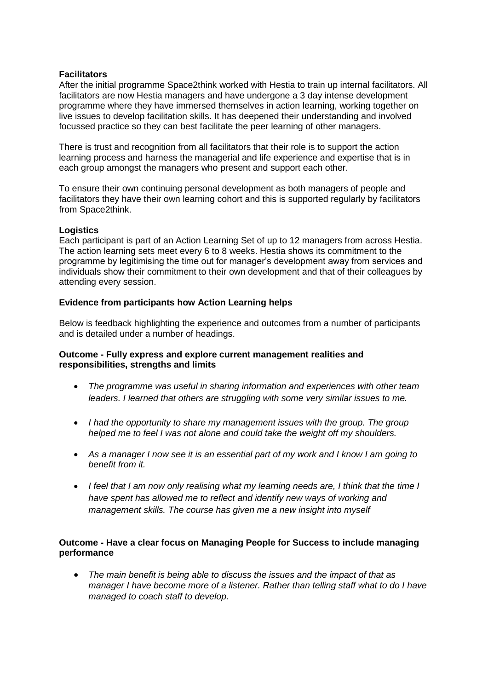#### **Facilitators**

After the initial programme Space2think worked with Hestia to train up internal facilitators. All facilitators are now Hestia managers and have undergone a 3 day intense development programme where they have immersed themselves in action learning, working together on live issues to develop facilitation skills. It has deepened their understanding and involved focussed practice so they can best facilitate the peer learning of other managers.

There is trust and recognition from all facilitators that their role is to support the action learning process and harness the managerial and life experience and expertise that is in each group amongst the managers who present and support each other.

To ensure their own continuing personal development as both managers of people and facilitators they have their own learning cohort and this is supported regularly by facilitators from Space2think.

#### **Logistics**

Each participant is part of an Action Learning Set of up to 12 managers from across Hestia. The action learning sets meet every 6 to 8 weeks. Hestia shows its commitment to the programme by legitimising the time out for manager's development away from services and individuals show their commitment to their own development and that of their colleagues by attending every session.

### **Evidence from participants how Action Learning helps**

Below is feedback highlighting the experience and outcomes from a number of participants and is detailed under a number of headings.

### **Outcome - Fully express and explore current management realities and responsibilities, strengths and limits**

- *The programme was useful in sharing information and experiences with other team leaders. I learned that others are struggling with some very similar issues to me.*
- *I had the opportunity to share my management issues with the group. The group helped me to feel I was not alone and could take the weight off my shoulders.*
- *As a manager I now see it is an essential part of my work and I know I am going to benefit from it.*
- **•** I feel that I am now only realising what my learning needs are, I think that the time I *have spent has allowed me to reflect and identify new ways of working and management skills. The course has given me a new insight into myself*

## **Outcome - Have a clear focus on Managing People for Success to include managing performance**

 *The main benefit is being able to discuss the issues and the impact of that as manager I have become more of a listener. Rather than telling staff what to do I have managed to coach staff to develop.*